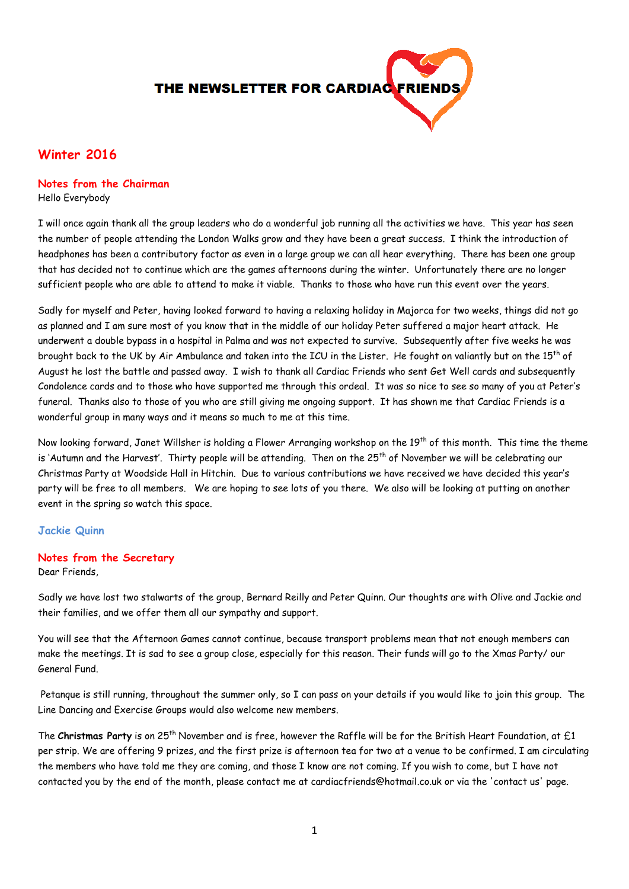

# **Winter 2016**

# **Notes from the Chairman**

Hello Everybody

I will once again thank all the group leaders who do a wonderful job running all the activities we have. This year has seen the number of people attending the London Walks grow and they have been a great success. I think the introduction of headphones has been a contributory factor as even in a large group we can all hear everything. There has been one group that has decided not to continue which are the games afternoons during the winter. Unfortunately there are no longer sufficient people who are able to attend to make it viable. Thanks to those who have run this event over the years.

Sadly for myself and Peter, having looked forward to having a relaxing holiday in Majorca for two weeks, things did not go as planned and I am sure most of you know that in the middle of our holiday Peter suffered a major heart attack. He underwent a double bypass in a hospital in Palma and was not expected to survive. Subsequently after five weeks he was brought back to the UK by Air Ambulance and taken into the ICU in the Lister. He fought on valiantly but on the 15<sup>th</sup> of August he lost the battle and passed away. I wish to thank all Cardiac Friends who sent Get Well cards and subsequently Condolence cards and to those who have supported me through this ordeal. It was so nice to see so many of you at Peter's funeral. Thanks also to those of you who are still giving me ongoing support. It has shown me that Cardiac Friends is a wonderful group in many ways and it means so much to me at this time.

Now looking forward, Janet Willsher is holding a Flower Arranging workshop on the 19<sup>th</sup> of this month. This time the theme is 'Autumn and the Harvest'. Thirty people will be attending. Then on the  $25<sup>th</sup>$  of November we will be celebrating our Christmas Party at Woodside Hall in Hitchin. Due to various contributions we have received we have decided this year's party will be free to all members. We are hoping to see lots of you there. We also will be looking at putting on another event in the spring so watch this space.

# **Jackie Quinn**

# **Notes from the Secretary**

Dear Friends,

Sadly we have lost two stalwarts of the group, Bernard Reilly and Peter Quinn. Our thoughts are with Olive and Jackie and their families, and we offer them all our sympathy and support.

You will see that the Afternoon Games cannot continue, because transport problems mean that not enough members can make the meetings. It is sad to see a group close, especially for this reason. Their funds will go to the Xmas Party/ our General Fund.

Petanque is still running, throughout the summer only, so I can pass on your details if you would like to join this group. The Line Dancing and Exercise Groups would also welcome new members.

The **Christmas Party** is on 25th November and is free, however the Raffle will be for the British Heart Foundation, at £1 per strip. We are offering 9 prizes, and the first prize is afternoon tea for two at a venue to be confirmed. I am circulating the members who have told me they are coming, and those I know are not coming. If you wish to come, but I have not contacted you by the end of the month, please contact me at cardiacfriends@hotmail.co.uk or via the 'contact us' page.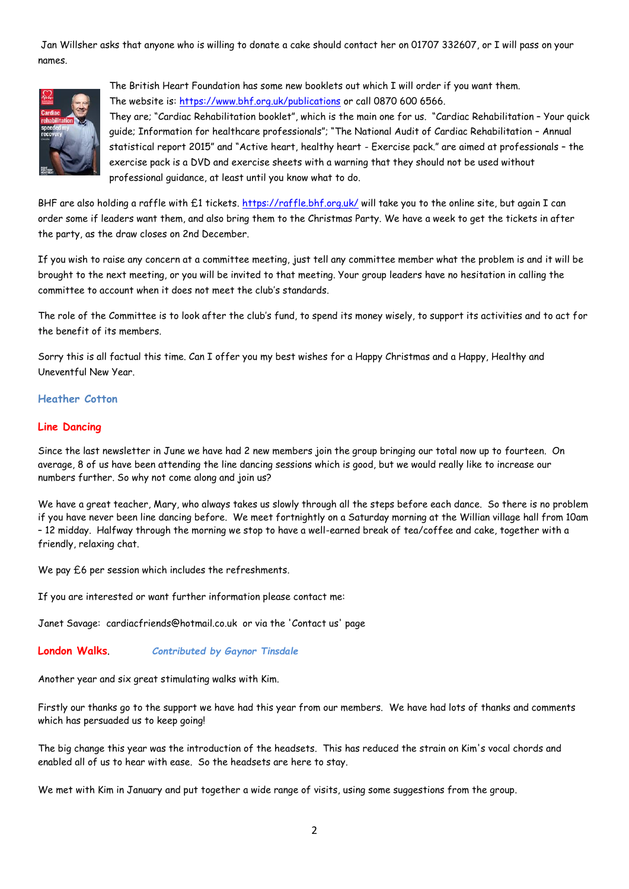Jan Willsher asks that anyone who is willing to donate a cake should contact her on 01707 332607, or I will pass on your names.



The British Heart Foundation has some new booklets out which I will order if you want them. The website is:<https://www.bhf.org.uk/publications> or call 0870 600 6566.

They are; "Cardiac Rehabilitation booklet", which is the main one for us. "Cardiac Rehabilitation – Your quick guide; Information for healthcare professionals"; "The National Audit of Cardiac Rehabilitation – Annual statistical report 2015" and "Active heart, healthy heart - Exercise pack." are aimed at professionals – the exercise pack is a DVD and exercise sheets with a warning that they should not be used without professional guidance, at least until you know what to do.

BHF are also holding a raffle with £1 tickets. [https://raffle.bhf.org.uk/](https://raffle.bhf.org.uk/rules) will take you to the online site, but again I can order some if leaders want them, and also bring them to the Christmas Party. We have a week to get the tickets in after the party, as the draw closes on 2nd December.

If you wish to raise any concern at a committee meeting, just tell any committee member what the problem is and it will be brought to the next meeting, or you will be invited to that meeting. Your group leaders have no hesitation in calling the committee to account when it does not meet the club's standards.

The role of the Committee is to look after the club's fund, to spend its money wisely, to support its activities and to act for the benefit of its members.

Sorry this is all factual this time. Can I offer you my best wishes for a Happy Christmas and a Happy, Healthy and Uneventful New Year.

# **Heather Cotton**

# **Line Dancing**

Since the last newsletter in June we have had 2 new members join the group bringing our total now up to fourteen. On average, 8 of us have been attending the line dancing sessions which is good, but we would really like to increase our numbers further. So why not come along and join us?

We have a great teacher, Mary, who always takes us slowly through all the steps before each dance. So there is no problem if you have never been line dancing before. We meet fortnightly on a Saturday morning at the Willian village hall from 10am – 12 midday. Halfway through the morning we stop to have a well-earned break of tea/coffee and cake, together with a friendly, relaxing chat.

We pay £6 per session which includes the refreshments.

If you are interested or want further information please contact me:

Janet Savage: cardiacfriends@hotmail.co.uk or via the 'Contact us' page

# **London Walks**. *Contributed by Gaynor Tinsdale*

Another year and six great stimulating walks with Kim.

Firstly our thanks go to the support we have had this year from our members. We have had lots of thanks and comments which has persuaded us to keep going!

The big change this year was the introduction of the headsets. This has reduced the strain on Kim's vocal chords and enabled all of us to hear with ease. So the headsets are here to stay.

We met with Kim in January and put together a wide range of visits, using some suggestions from the group.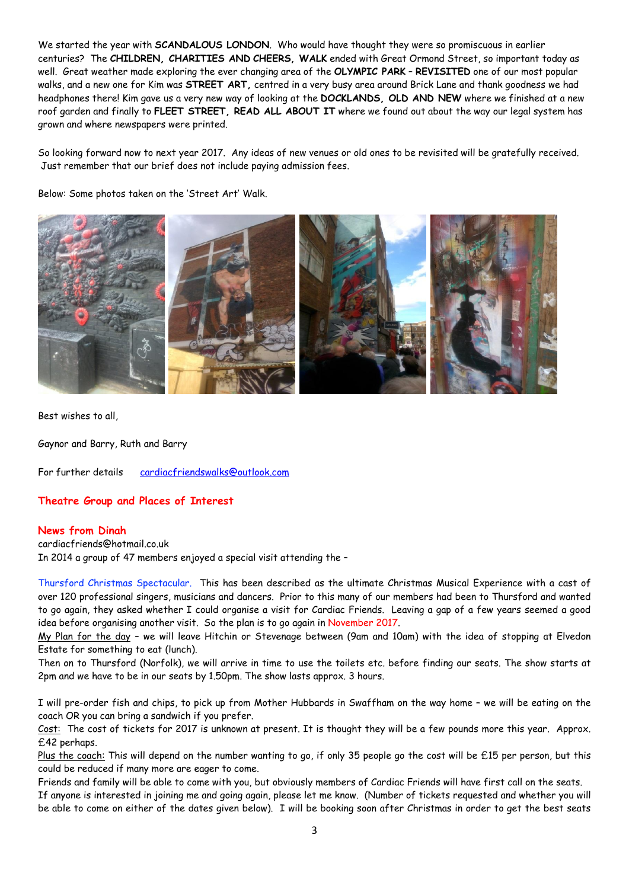We started the year with **SCANDALOUS LONDON**. Who would have thought they were so promiscuous in earlier centuries? The **CHILDREN, CHARITIES AND CHEERS, WALK** ended with Great Ormond Street, so important today as well. Great weather made exploring the ever changing area of the **OLYMPIC PARK** – **REVISITED** one of our most popular walks, and a new one for Kim was **STREET ART,** centred in a very busy area around Brick Lane and thank goodness we had headphones there! Kim gave us a very new way of looking at the **DOCKLANDS, OLD AND NEW** where we finished at a new roof garden and finally to **FLEET STREET, READ ALL ABOUT IT** where we found out about the way our legal system has grown and where newspapers were printed.

So looking forward now to next year 2017. Any ideas of new venues or old ones to be revisited will be gratefully received. Just remember that our brief does not include paying admission fees.

Below: Some photos taken on the 'Street Art' Walk.



Best wishes to all,

Gaynor and Barry, Ruth and Barry

For further details [cardiacfriendswalks@outlook.com](mailto:cardiacfriendswalks@outlook.com)

**Theatre Group and Places of Interest**

#### **News from Dinah**

cardiacfriends@hotmail.co.uk

In 2014 a group of 47 members enjoyed a special visit attending the –

Thursford Christmas Spectacular. This has been described as the ultimate Christmas Musical Experience with a cast of over 120 professional singers, musicians and dancers. Prior to this many of our members had been to Thursford and wanted to go again, they asked whether I could organise a visit for Cardiac Friends. Leaving a gap of a few years seemed a good idea before organising another visit. So the plan is to go again in November 2017.

My Plan for the day – we will leave Hitchin or Stevenage between (9am and 10am) with the idea of stopping at Elvedon Estate for something to eat (lunch).

Then on to Thursford (Norfolk), we will arrive in time to use the toilets etc. before finding our seats. The show starts at 2pm and we have to be in our seats by 1.50pm. The show lasts approx. 3 hours.

I will pre-order fish and chips, to pick up from Mother Hubbards in Swaffham on the way home – we will be eating on the coach OR you can bring a sandwich if you prefer.

Cost: The cost of tickets for 2017 is unknown at present. It is thought they will be a few pounds more this year. Approx. £42 perhaps.

Plus the coach: This will depend on the number wanting to go, if only 35 people go the cost will be £15 per person, but this could be reduced if many more are eager to come.

Friends and family will be able to come with you, but obviously members of Cardiac Friends will have first call on the seats.

If anyone is interested in joining me and going again, please let me know. (Number of tickets requested and whether you will be able to come on either of the dates given below). I will be booking soon after Christmas in order to get the best seats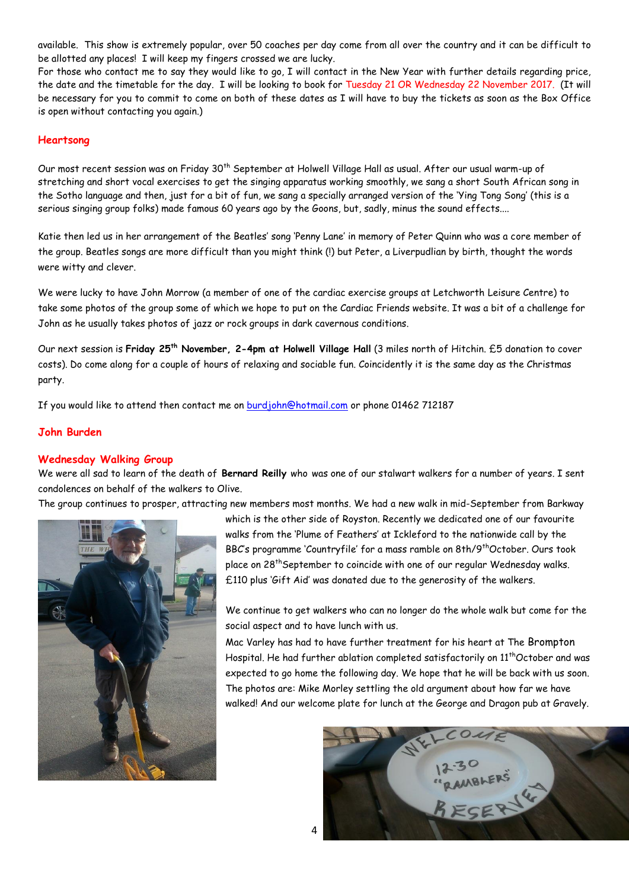available. This show is extremely popular, over 50 coaches per day come from all over the country and it can be difficult to be allotted any places! I will keep my fingers crossed we are lucky.

For those who contact me to say they would like to go, I will contact in the New Year with further details regarding price, the date and the timetable for the day. I will be looking to book for Tuesday 21 OR Wednesday 22 November 2017. (It will be necessary for you to commit to come on both of these dates as I will have to buy the tickets as soon as the Box Office is open without contacting you again.)

#### **Heartsong**

Our most recent session was on Friday 30<sup>th</sup> September at Holwell Village Hall as usual. After our usual warm-up of stretching and short vocal exercises to get the singing apparatus working smoothly, we sang a short South African song in the Sotho language and then, just for a bit of fun, we sang a specially arranged version of the 'Ying Tong Song' (this is a serious singing group folks) made famous 60 years ago by the Goons, but, sadly, minus the sound effects....

Katie then led us in her arrangement of the Beatles' song 'Penny Lane' in memory of Peter Quinn who was a core member of the group. Beatles songs are more difficult than you might think (!) but Peter, a Liverpudlian by birth, thought the words were witty and clever.

We were lucky to have John Morrow (a member of one of the cardiac exercise groups at Letchworth Leisure Centre) to take some photos of the group some of which we hope to put on the Cardiac Friends website. It was a bit of a challenge for John as he usually takes photos of jazz or rock groups in dark cavernous conditions.

Our next session is **Friday 25th November, 2-4pm at Holwell Village Hall** (3 miles north of Hitchin. £5 donation to cover costs). Do come along for a couple of hours of relaxing and sociable fun. Coincidently it is the same day as the Christmas party.

If you would like to attend then contact me on [burdjohn@hotmail.com](mailto:burdjohn@hotmail.com) or phone 01462 712187

#### **John Burden**

#### **Wednesday Walking Group**

We were all sad to learn of the death of **Bernard Reilly** who was one of our stalwart walkers for a number of years. I sent condolences on behalf of the walkers to Olive.

The group continues to prosper, attracting new members most months. We had a new walk in mid-September from Barkway



which is the other side of Royston. Recently we dedicated one of our favourite walks from the 'Plume of Feathers' at Ickleford to the nationwide call by the BBC's programme 'Countryfile' for a mass ramble on 8th/9<sup>th</sup>October. Ours took place on 28<sup>th</sup>September to coincide with one of our regular Wednesday walks. £110 plus 'Gift Aid' was donated due to the generosity of the walkers.

We continue to get walkers who can no longer do the whole walk but come for the social aspect and to have lunch with us.

Mac Varley has had to have further treatment for his heart at The Brompton Hospital. He had further ablation completed satisfactorily on 11<sup>th</sup>October and was expected to go home the following day. We hope that he will be back with us soon. The photos are: Mike Morley settling the old argument about how far we have walked! And our welcome plate for lunch at the George and Dragon pub at Gravely.

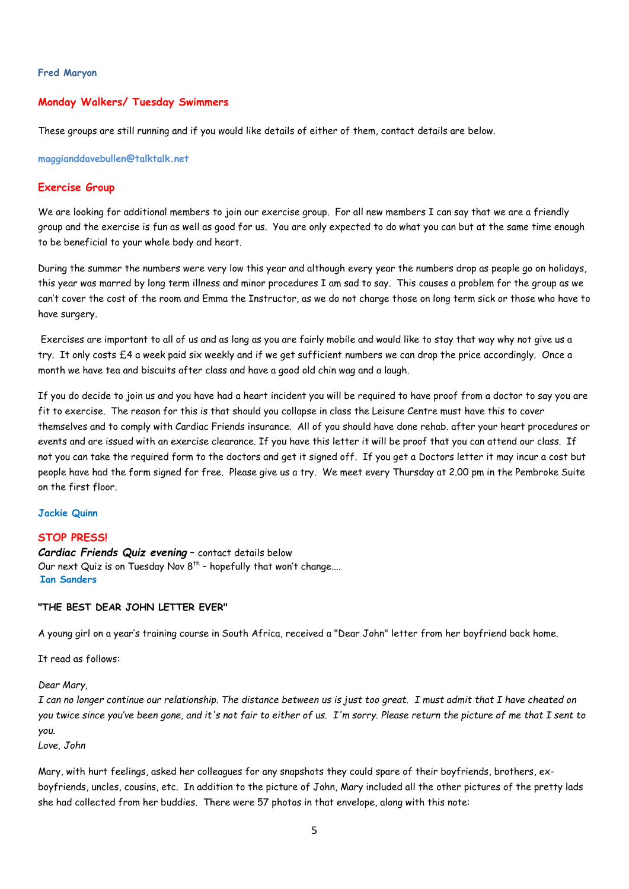#### **Fred Maryon**

### **Monday Walkers/ Tuesday Swimmers**

These groups are still running and if you would like details of either of them, contact details are below.

**maggianddavebullen@talktalk.net**

#### **Exercise Group**

We are looking for additional members to join our exercise group. For all new members I can say that we are a friendly group and the exercise is fun as well as good for us. You are only expected to do what you can but at the same time enough to be beneficial to your whole body and heart.

During the summer the numbers were very low this year and although every year the numbers drop as people go on holidays, this year was marred by long term illness and minor procedures I am sad to say. This causes a problem for the group as we can't cover the cost of the room and Emma the Instructor, as we do not charge those on long term sick or those who have to have surgery.

Exercises are important to all of us and as long as you are fairly mobile and would like to stay that way why not give us a try. It only costs £4 a week paid six weekly and if we get sufficient numbers we can drop the price accordingly. Once a month we have tea and biscuits after class and have a good old chin wag and a laugh.

If you do decide to join us and you have had a heart incident you will be required to have proof from a doctor to say you are fit to exercise. The reason for this is that should you collapse in class the Leisure Centre must have this to cover themselves and to comply with Cardiac Friends insurance. All of you should have done rehab. after your heart procedures or events and are issued with an exercise clearance. If you have this letter it will be proof that you can attend our class. If not you can take the required form to the doctors and get it signed off. If you get a Doctors letter it may incur a cost but people have had the form signed for free. Please give us a try. We meet every Thursday at 2.00 pm in the Pembroke Suite on the first floor.

### **Jackie Quinn**

#### **STOP PRESS!**

*Cardiac Friends Quiz evening* – contact details below Our next Quiz is on Tuesday Nov  $8^{th}$  - hopefully that won't change.... **Ian Sanders**

#### **"THE BEST DEAR JOHN LETTER EVER"**

A young girl on a year's training course in South Africa, received a "Dear John" letter from her boyfriend back home.

It read as follows:

#### *Dear Mary,*

*I can no longer continue our relationship. The distance between us is just too great. I must admit that I have cheated on you twice since you've been gone, and it's not fair to either of us. I'm sorry. Please return the picture of me that I sent to you.*

*Love, John*

Mary, with hurt feelings, asked her colleagues for any snapshots they could spare of their boyfriends, brothers, exboyfriends, uncles, cousins, etc. In addition to the picture of John, Mary included all the other pictures of the pretty lads she had collected from her buddies. There were 57 photos in that envelope, along with this note: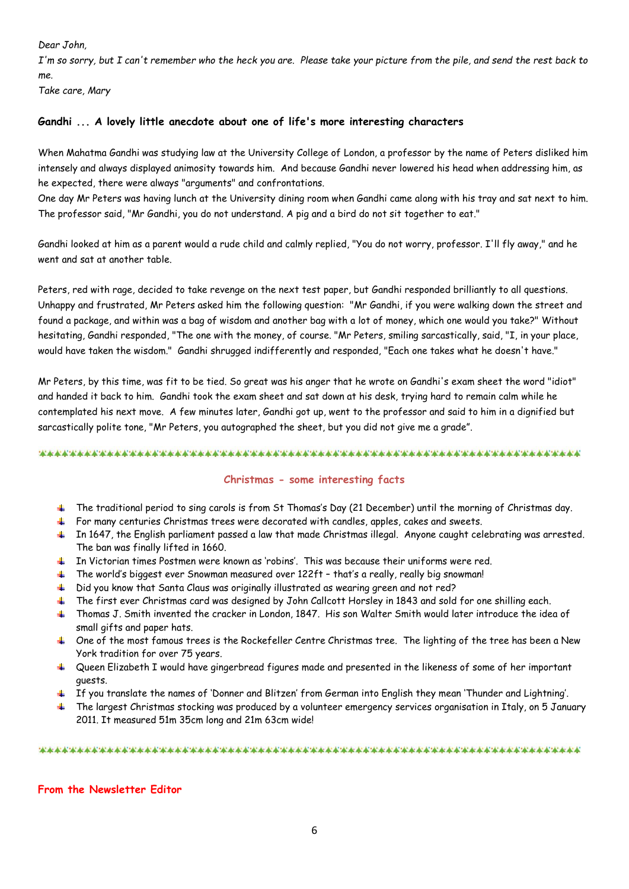*Dear John,*

*I'm so sorry, but I can't remember who the heck you are. Please take your picture from the pile, and send the rest back to me.*

*Take care, Mary*

# **Gandhi ... A lovely little anecdote about one of life's more interesting characters**

When Mahatma Gandhi was studying law at the University College of London, a professor by the name of Peters disliked him intensely and always displayed animosity towards him. And because Gandhi never lowered his head when addressing him, as he expected, there were always "arguments" and confrontations.

One day Mr Peters was having lunch at the University dining room when Gandhi came along with his tray and sat next to him. The professor said, "Mr Gandhi, you do not understand. A pig and a bird do not sit together to eat."

Gandhi looked at him as a parent would a rude child and calmly replied, "You do not worry, professor. I'll fly away," and he went and sat at another table.

Peters, red with rage, decided to take revenge on the next test paper, but Gandhi responded brilliantly to all questions. Unhappy and frustrated, Mr Peters asked him the following question: "Mr Gandhi, if you were walking down the street and found a package, and within was a bag of wisdom and another bag with a lot of money, which one would you take?" Without hesitating, Gandhi responded, "The one with the money, of course. "Mr Peters, smiling sarcastically, said, "I, in your place, would have taken the wisdom." Gandhi shrugged indifferently and responded, "Each one takes what he doesn't have."

Mr Peters, by this time, was fit to be tied. So great was his anger that he wrote on Gandhi's exam sheet the word "idiot" and handed it back to him. Gandhi took the exam sheet and sat down at his desk, trying hard to remain calm while he contemplated his next move. A few minutes later, Gandhi got up, went to the professor and said to him in a dignified but sarcastically polite tone, "Mr Peters, you autographed the sheet, but you did not give me a grade".

#### 

# **Christmas - some interesting facts**

- The traditional period to sing carols is from St Thomas's Day (21 December) until the morning of Christmas day.
- $\blacklozenge$  For many centuries Christmas trees were decorated with candles, apples, cakes and sweets.
- In 1647, the English parliament passed a law that made Christmas illegal. Anyone caught celebrating was arrested. The ban was finally lifted in 1660.
- $\Box$  In Victorian times Postmen were known as 'robins'. This was because their uniforms were red.
- $\ddot{\phantom{1}}$  The world's biggest ever Snowman measured over 122ft that's a really, really big snowman!
- $\ddot{\phantom{1}}$  Did you know that Santa Claus was originally illustrated as wearing green and not red?
- The first ever Christmas card was designed by John Callcott Horsley in 1843 and sold for one shilling each.
- Thomas J. Smith invented the cracker in London, 1847. His son Walter Smith would later introduce the idea of small gifts and paper hats.
- $\Box$  One of the most famous trees is the Rockefeller Centre Christmas tree. The lighting of the tree has been a New York tradition for over 75 years.
- Queen Elizabeth I would have gingerbread figures made and presented in the likeness of some of her important guests.
- If you translate the names of 'Donner and Blitzen' from German into English they mean 'Thunder and Lightning'.
- The largest Christmas stocking was produced by a volunteer emergency services organisation in Italy, on 5 January 2011. It measured 51m 35cm long and 21m 63cm wide!

# **From the Newsletter Editor**